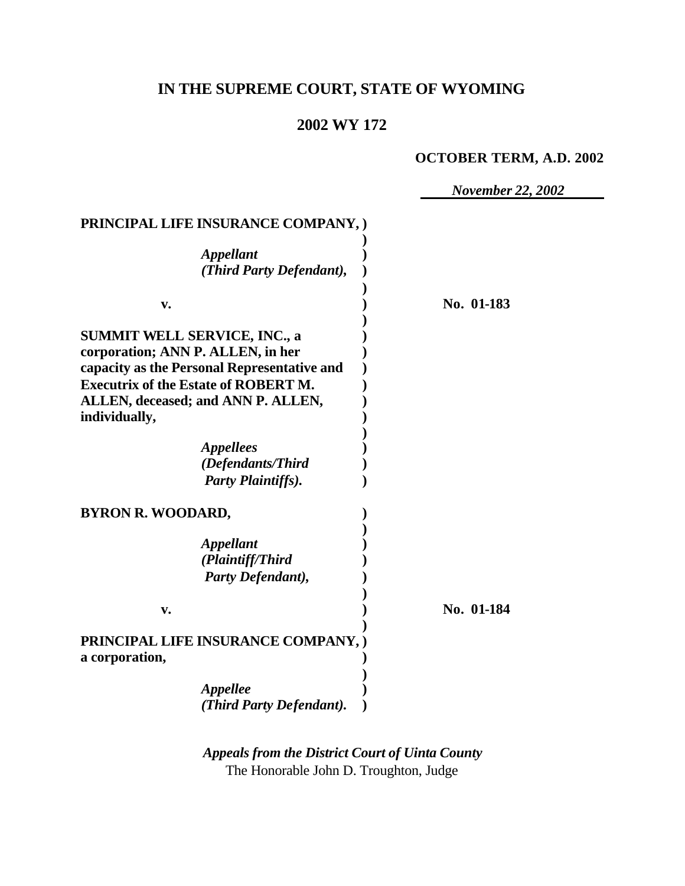# **IN THE SUPREME COURT, STATE OF WYOMING**

## **2002 WY 172**

## **OCTOBER TERM, A.D. 2002**

*November 22, 2002*

#### **PRINCIPAL LIFE INSURANCE COMPANY, ) )**

| <i><b>Appellant</b></i><br>(Third Party Defendant),                                                                                                                                                                           |            |
|-------------------------------------------------------------------------------------------------------------------------------------------------------------------------------------------------------------------------------|------------|
| v.                                                                                                                                                                                                                            | No. 01-183 |
| <b>SUMMIT WELL SERVICE, INC., a</b><br>corporation; ANN P. ALLEN, in her<br>capacity as the Personal Representative and<br><b>Executrix of the Estate of ROBERT M.</b><br>ALLEN, deceased; and ANN P. ALLEN,<br>individually, |            |
| <i>Appellees</i><br>(Defendants/Third<br><b>Party Plaintiffs).</b>                                                                                                                                                            |            |
| <b>BYRON R. WOODARD,</b>                                                                                                                                                                                                      |            |
| <b>Appellant</b><br>(Plaintiff/Third<br>Party Defendant),                                                                                                                                                                     |            |
| v.                                                                                                                                                                                                                            | No. 01-184 |
| PRINCIPAL LIFE INSURANCE COMPANY, )<br>a corporation,                                                                                                                                                                         |            |
| <b>Appellee</b><br>(Third Party Defendant).                                                                                                                                                                                   |            |

*Appeals from the District Court of Uinta County* The Honorable John D. Troughton, Judge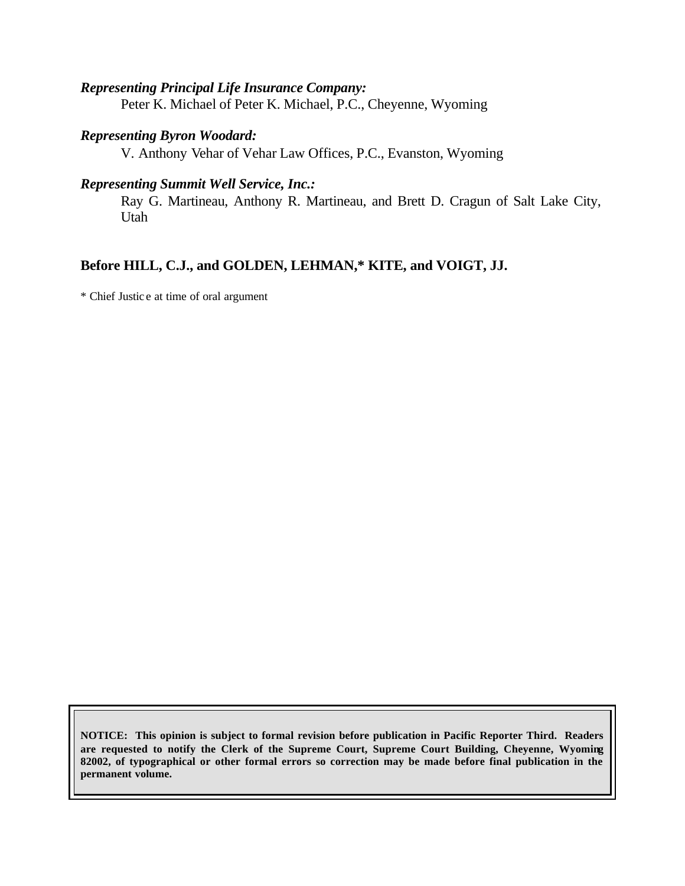#### *Representing Principal Life Insurance Company:*

Peter K. Michael of Peter K. Michael, P.C., Cheyenne, Wyoming

#### *Representing Byron Woodard:*

V. Anthony Vehar of Vehar Law Offices, P.C., Evanston, Wyoming

#### *Representing Summit Well Service, Inc.:*

Ray G. Martineau, Anthony R. Martineau, and Brett D. Cragun of Salt Lake City, Utah

### **Before HILL, C.J., and GOLDEN, LEHMAN,\* KITE, and VOIGT, JJ.**

\* Chief Justic e at time of oral argument

**NOTICE: This opinion is subject to formal revision before publication in Pacific Reporter Third. Readers are requested to notify the Clerk of the Supreme Court, Supreme Court Building, Cheyenne, Wyoming 82002, of typographical or other formal errors so correction may be made before final publication in the permanent volume.**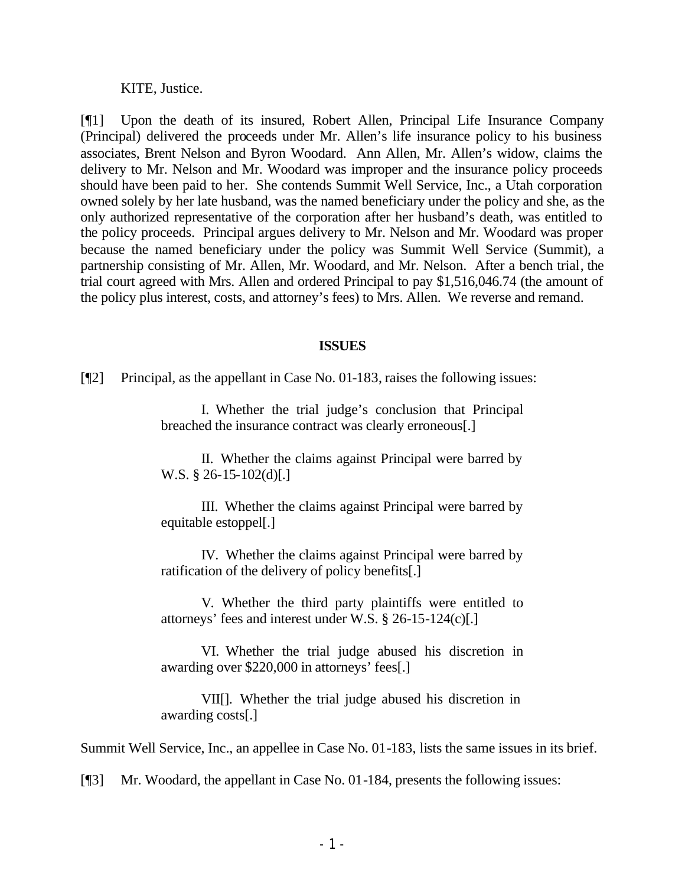KITE, Justice.

[¶1] Upon the death of its insured, Robert Allen, Principal Life Insurance Company (Principal) delivered the proceeds under Mr. Allen's life insurance policy to his business associates, Brent Nelson and Byron Woodard. Ann Allen, Mr. Allen's widow, claims the delivery to Mr. Nelson and Mr. Woodard was improper and the insurance policy proceeds should have been paid to her. She contends Summit Well Service, Inc., a Utah corporation owned solely by her late husband, was the named beneficiary under the policy and she, as the only authorized representative of the corporation after her husband's death, was entitled to the policy proceeds. Principal argues delivery to Mr. Nelson and Mr. Woodard was proper because the named beneficiary under the policy was Summit Well Service (Summit), a partnership consisting of Mr. Allen, Mr. Woodard, and Mr. Nelson. After a bench trial, the trial court agreed with Mrs. Allen and ordered Principal to pay \$1,516,046.74 (the amount of the policy plus interest, costs, and attorney's fees) to Mrs. Allen. We reverse and remand.

#### **ISSUES**

[¶2] Principal, as the appellant in Case No. 01-183, raises the following issues:

I. Whether the trial judge's conclusion that Principal breached the insurance contract was clearly erroneous[.]

II. Whether the claims against Principal were barred by W.S. § 26-15-102(d)[.]

III. Whether the claims against Principal were barred by equitable estoppel[.]

IV. Whether the claims against Principal were barred by ratification of the delivery of policy benefits[.]

V. Whether the third party plaintiffs were entitled to attorneys' fees and interest under W.S. § 26-15-124(c)[.]

VI. Whether the trial judge abused his discretion in awarding over \$220,000 in attorneys' fees[.]

VII[]. Whether the trial judge abused his discretion in awarding costs[.]

Summit Well Service, Inc., an appellee in Case No. 01-183, lists the same issues in its brief.

[¶3] Mr. Woodard, the appellant in Case No. 01-184, presents the following issues: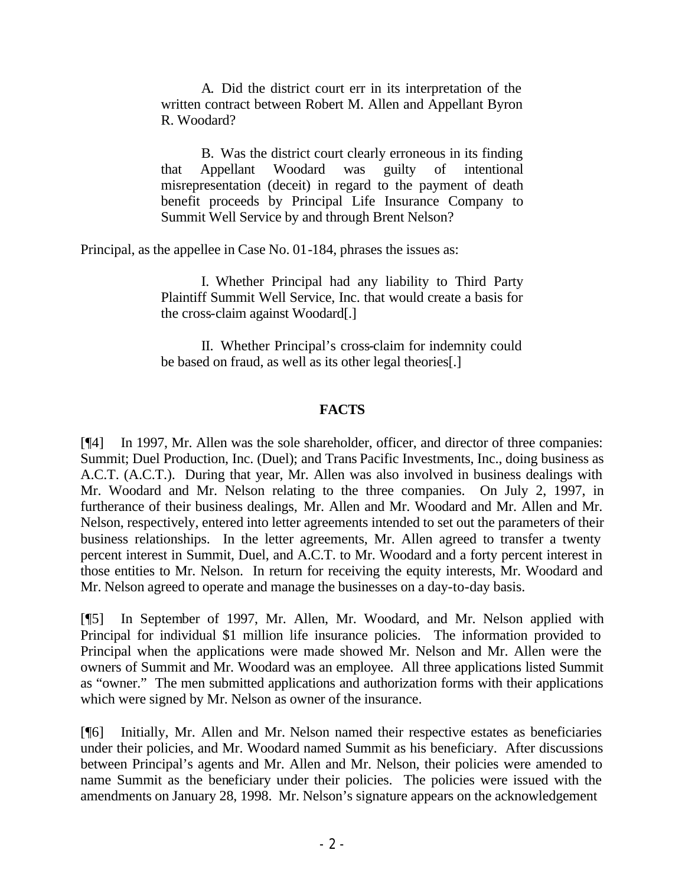A. Did the district court err in its interpretation of the written contract between Robert M. Allen and Appellant Byron R. Woodard?

B. Was the district court clearly erroneous in its finding that Appellant Woodard was guilty of intentional misrepresentation (deceit) in regard to the payment of death benefit proceeds by Principal Life Insurance Company to Summit Well Service by and through Brent Nelson?

Principal, as the appellee in Case No. 01-184, phrases the issues as:

I. Whether Principal had any liability to Third Party Plaintiff Summit Well Service, Inc. that would create a basis for the cross-claim against Woodard[.]

II. Whether Principal's cross-claim for indemnity could be based on fraud, as well as its other legal theories[.]

#### **FACTS**

[¶4] In 1997, Mr. Allen was the sole shareholder, officer, and director of three companies: Summit; Duel Production, Inc. (Duel); and Trans Pacific Investments, Inc., doing business as A.C.T. (A.C.T.). During that year, Mr. Allen was also involved in business dealings with Mr. Woodard and Mr. Nelson relating to the three companies. On July 2, 1997, in furtherance of their business dealings, Mr. Allen and Mr. Woodard and Mr. Allen and Mr. Nelson, respectively, entered into letter agreements intended to set out the parameters of their business relationships. In the letter agreements, Mr. Allen agreed to transfer a twenty percent interest in Summit, Duel, and A.C.T. to Mr. Woodard and a forty percent interest in those entities to Mr. Nelson. In return for receiving the equity interests, Mr. Woodard and Mr. Nelson agreed to operate and manage the businesses on a day-to-day basis.

[¶5] In September of 1997, Mr. Allen, Mr. Woodard, and Mr. Nelson applied with Principal for individual \$1 million life insurance policies. The information provided to Principal when the applications were made showed Mr. Nelson and Mr. Allen were the owners of Summit and Mr. Woodard was an employee. All three applications listed Summit as "owner." The men submitted applications and authorization forms with their applications which were signed by Mr. Nelson as owner of the insurance.

[¶6] Initially, Mr. Allen and Mr. Nelson named their respective estates as beneficiaries under their policies, and Mr. Woodard named Summit as his beneficiary. After discussions between Principal's agents and Mr. Allen and Mr. Nelson, their policies were amended to name Summit as the beneficiary under their policies. The policies were issued with the amendments on January 28, 1998. Mr. Nelson's signature appears on the acknowledgement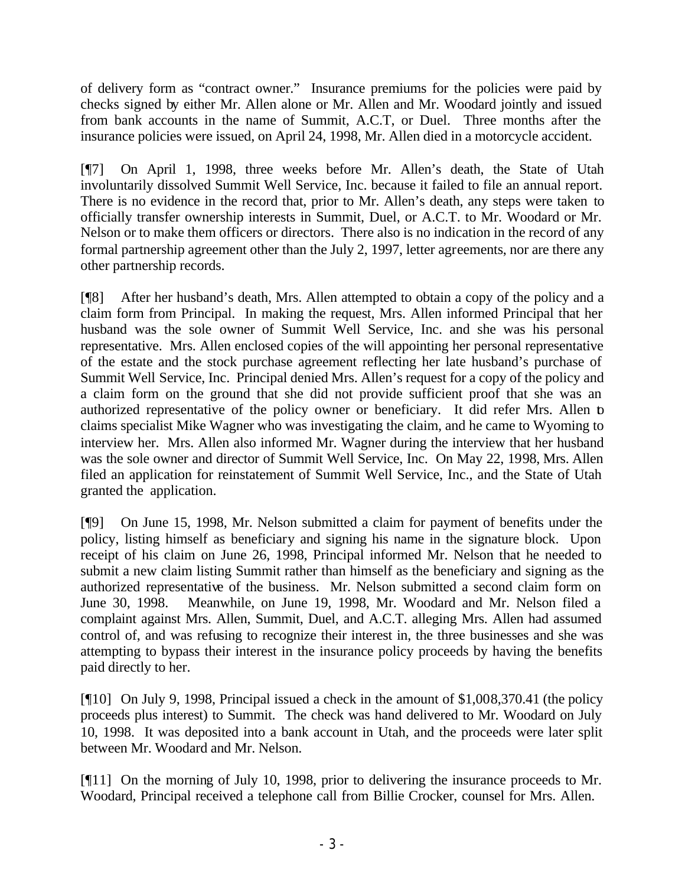of delivery form as "contract owner." Insurance premiums for the policies were paid by checks signed by either Mr. Allen alone or Mr. Allen and Mr. Woodard jointly and issued from bank accounts in the name of Summit, A.C.T, or Duel. Three months after the insurance policies were issued, on April 24, 1998, Mr. Allen died in a motorcycle accident.

[¶7] On April 1, 1998, three weeks before Mr. Allen's death, the State of Utah involuntarily dissolved Summit Well Service, Inc. because it failed to file an annual report. There is no evidence in the record that, prior to Mr. Allen's death, any steps were taken to officially transfer ownership interests in Summit, Duel, or A.C.T. to Mr. Woodard or Mr. Nelson or to make them officers or directors. There also is no indication in the record of any formal partnership agreement other than the July 2, 1997, letter agreements, nor are there any other partnership records.

[¶8] After her husband's death, Mrs. Allen attempted to obtain a copy of the policy and a claim form from Principal. In making the request, Mrs. Allen informed Principal that her husband was the sole owner of Summit Well Service, Inc. and she was his personal representative. Mrs. Allen enclosed copies of the will appointing her personal representative of the estate and the stock purchase agreement reflecting her late husband's purchase of Summit Well Service, Inc. Principal denied Mrs. Allen's request for a copy of the policy and a claim form on the ground that she did not provide sufficient proof that she was an authorized representative of the policy owner or beneficiary. It did refer Mrs. Allen to claims specialist Mike Wagner who was investigating the claim, and he came to Wyoming to interview her. Mrs. Allen also informed Mr. Wagner during the interview that her husband was the sole owner and director of Summit Well Service, Inc. On May 22, 1998, Mrs. Allen filed an application for reinstatement of Summit Well Service, Inc., and the State of Utah granted the application.

[¶9] On June 15, 1998, Mr. Nelson submitted a claim for payment of benefits under the policy, listing himself as beneficiary and signing his name in the signature block. Upon receipt of his claim on June 26, 1998, Principal informed Mr. Nelson that he needed to submit a new claim listing Summit rather than himself as the beneficiary and signing as the authorized representative of the business. Mr. Nelson submitted a second claim form on June 30, 1998. Meanwhile, on June 19, 1998, Mr. Woodard and Mr. Nelson filed a complaint against Mrs. Allen, Summit, Duel, and A.C.T. alleging Mrs. Allen had assumed control of, and was refusing to recognize their interest in, the three businesses and she was attempting to bypass their interest in the insurance policy proceeds by having the benefits paid directly to her.

[¶10] On July 9, 1998, Principal issued a check in the amount of \$1,008,370.41 (the policy proceeds plus interest) to Summit. The check was hand delivered to Mr. Woodard on July 10, 1998. It was deposited into a bank account in Utah, and the proceeds were later split between Mr. Woodard and Mr. Nelson.

[¶11] On the morning of July 10, 1998, prior to delivering the insurance proceeds to Mr. Woodard, Principal received a telephone call from Billie Crocker, counsel for Mrs. Allen.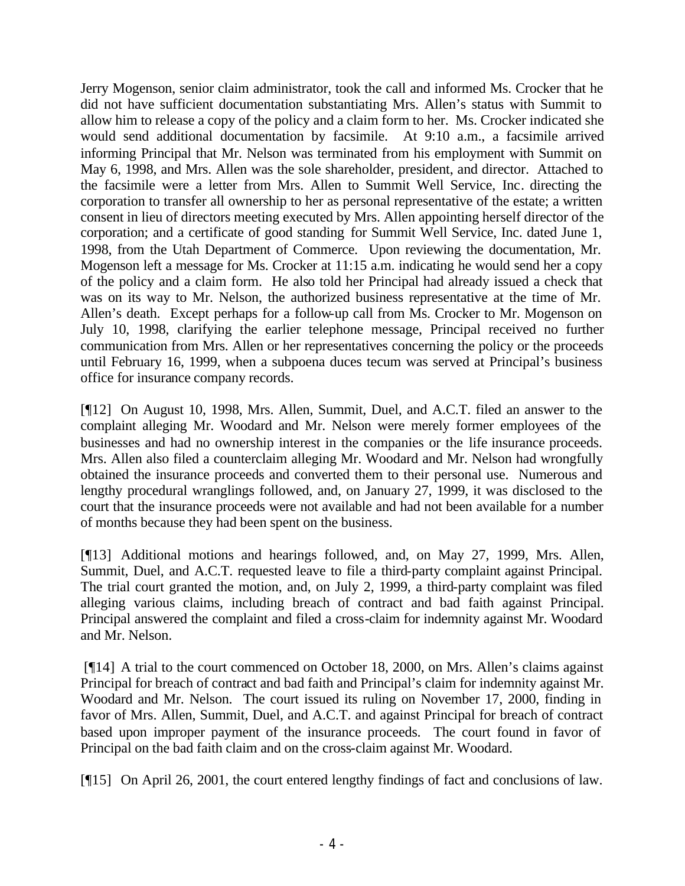Jerry Mogenson, senior claim administrator, took the call and informed Ms. Crocker that he did not have sufficient documentation substantiating Mrs. Allen's status with Summit to allow him to release a copy of the policy and a claim form to her. Ms. Crocker indicated she would send additional documentation by facsimile. At 9:10 a.m., a facsimile arrived informing Principal that Mr. Nelson was terminated from his employment with Summit on May 6, 1998, and Mrs. Allen was the sole shareholder, president, and director. Attached to the facsimile were a letter from Mrs. Allen to Summit Well Service, Inc. directing the corporation to transfer all ownership to her as personal representative of the estate; a written consent in lieu of directors meeting executed by Mrs. Allen appointing herself director of the corporation; and a certificate of good standing for Summit Well Service, Inc. dated June 1, 1998, from the Utah Department of Commerce. Upon reviewing the documentation, Mr. Mogenson left a message for Ms. Crocker at 11:15 a.m. indicating he would send her a copy of the policy and a claim form. He also told her Principal had already issued a check that was on its way to Mr. Nelson, the authorized business representative at the time of Mr. Allen's death. Except perhaps for a follow-up call from Ms. Crocker to Mr. Mogenson on July 10, 1998, clarifying the earlier telephone message, Principal received no further communication from Mrs. Allen or her representatives concerning the policy or the proceeds until February 16, 1999, when a subpoena duces tecum was served at Principal's business office for insurance company records.

[¶12] On August 10, 1998, Mrs. Allen, Summit, Duel, and A.C.T. filed an answer to the complaint alleging Mr. Woodard and Mr. Nelson were merely former employees of the businesses and had no ownership interest in the companies or the life insurance proceeds. Mrs. Allen also filed a counterclaim alleging Mr. Woodard and Mr. Nelson had wrongfully obtained the insurance proceeds and converted them to their personal use. Numerous and lengthy procedural wranglings followed, and, on January 27, 1999, it was disclosed to the court that the insurance proceeds were not available and had not been available for a number of months because they had been spent on the business.

[¶13] Additional motions and hearings followed, and, on May 27, 1999, Mrs. Allen, Summit, Duel, and A.C.T. requested leave to file a third-party complaint against Principal. The trial court granted the motion, and, on July 2, 1999, a third-party complaint was filed alleging various claims, including breach of contract and bad faith against Principal. Principal answered the complaint and filed a cross-claim for indemnity against Mr. Woodard and Mr. Nelson.

 [¶14] A trial to the court commenced on October 18, 2000, on Mrs. Allen's claims against Principal for breach of contract and bad faith and Principal's claim for indemnity against Mr. Woodard and Mr. Nelson. The court issued its ruling on November 17, 2000, finding in favor of Mrs. Allen, Summit, Duel, and A.C.T. and against Principal for breach of contract based upon improper payment of the insurance proceeds. The court found in favor of Principal on the bad faith claim and on the cross-claim against Mr. Woodard.

[¶15] On April 26, 2001, the court entered lengthy findings of fact and conclusions of law.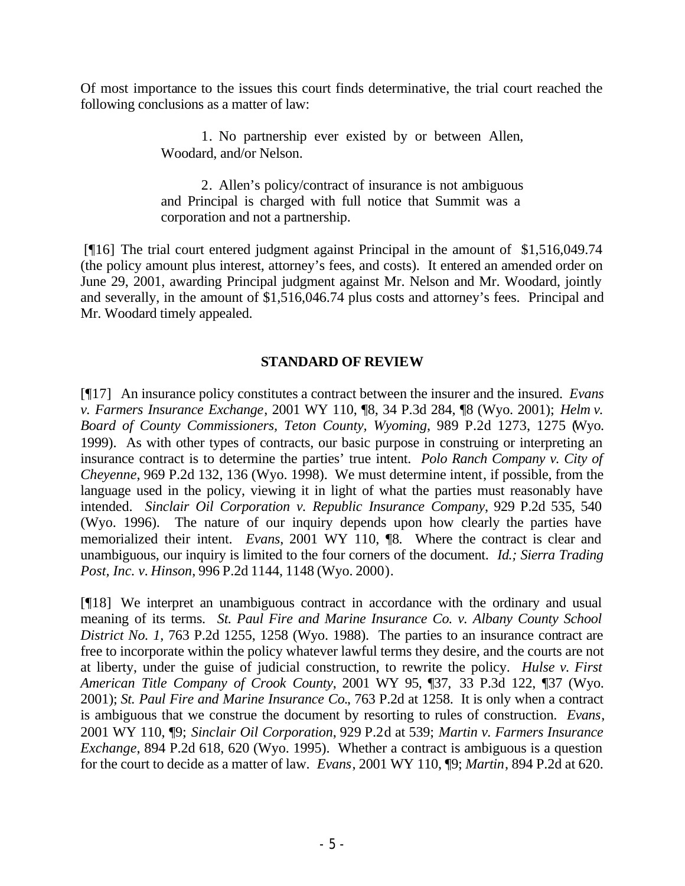Of most importance to the issues this court finds determinative, the trial court reached the following conclusions as a matter of law:

> 1. No partnership ever existed by or between Allen, Woodard, and/or Nelson.

> 2. Allen's policy/contract of insurance is not ambiguous and Principal is charged with full notice that Summit was a corporation and not a partnership.

 [¶16] The trial court entered judgment against Principal in the amount of \$1,516,049.74 (the policy amount plus interest, attorney's fees, and costs). It entered an amended order on June 29, 2001, awarding Principal judgment against Mr. Nelson and Mr. Woodard, jointly and severally, in the amount of \$1,516,046.74 plus costs and attorney's fees. Principal and Mr. Woodard timely appealed.

## **STANDARD OF REVIEW**

[¶17] An insurance policy constitutes a contract between the insurer and the insured. *Evans v. Farmers Insurance Exchange*, 2001 WY 110, ¶8, 34 P.3d 284, ¶8 (Wyo. 2001); *Helm v. Board of County Commissioners, Teton County, Wyoming*, 989 P.2d 1273, 1275 (Wyo. 1999). As with other types of contracts, our basic purpose in construing or interpreting an insurance contract is to determine the parties' true intent. *Polo Ranch Company v. City of Cheyenne*, 969 P.2d 132, 136 (Wyo. 1998). We must determine intent, if possible, from the language used in the policy, viewing it in light of what the parties must reasonably have intended. *Sinclair Oil Corporation v. Republic Insurance Company*, 929 P.2d 535, 540 (Wyo. 1996). The nature of our inquiry depends upon how clearly the parties have memorialized their intent. *Evans*, 2001 WY 110, ¶8*.* Where the contract is clear and unambiguous, our inquiry is limited to the four corners of the document. *Id.; Sierra Trading Post, Inc. v. Hinson*, 996 P.2d 1144, 1148 (Wyo. 2000).

[¶18] We interpret an unambiguous contract in accordance with the ordinary and usual meaning of its terms. *St. Paul Fire and Marine Insurance Co. v. Albany County School District No. 1*, 763 P.2d 1255, 1258 (Wyo. 1988). The parties to an insurance contract are free to incorporate within the policy whatever lawful terms they desire, and the courts are not at liberty, under the guise of judicial construction, to rewrite the policy. *Hulse v. First American Title Company of Crook County*, 2001 WY 95, ¶37, 33 P.3d 122, ¶37 (Wyo. 2001); *St. Paul Fire and Marine Insurance Co.*, 763 P.2d at 1258. It is only when a contract is ambiguous that we construe the document by resorting to rules of construction. *Evans*, 2001 WY 110, ¶9; *Sinclair Oil Corporation*, 929 P.2d at 539; *Martin v. Farmers Insurance Exchange*, 894 P.2d 618, 620 (Wyo. 1995). Whether a contract is ambiguous is a question for the court to decide as a matter of law. *Evans*, 2001 WY 110, ¶9; *Martin*, 894 P.2d at 620.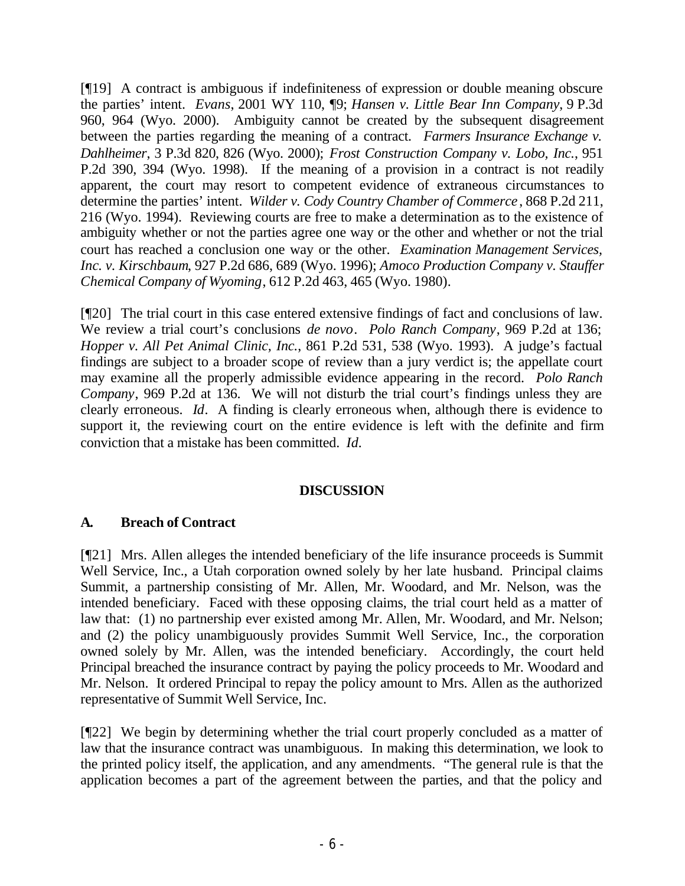[¶19] A contract is ambiguous if indefiniteness of expression or double meaning obscure the parties' intent. *Evans*, 2001 WY 110, ¶9; *Hansen v. Little Bear Inn Company*, 9 P.3d 960, 964 (Wyo. 2000). Ambiguity cannot be created by the subsequent disagreement between the parties regarding the meaning of a contract. *Farmers Insurance Exchange v. Dahlheimer*, 3 P.3d 820, 826 (Wyo. 2000); *Frost Construction Company v. Lobo, Inc.*, 951 P.2d 390, 394 (Wyo. 1998). If the meaning of a provision in a contract is not readily apparent, the court may resort to competent evidence of extraneous circumstances to determine the parties' intent. *Wilder v. Cody Country Chamber of Commerce* , 868 P.2d 211, 216 (Wyo. 1994). Reviewing courts are free to make a determination as to the existence of ambiguity whether or not the parties agree one way or the other and whether or not the trial court has reached a conclusion one way or the other. *Examination Management Services, Inc. v. Kirschbaum*, 927 P.2d 686, 689 (Wyo. 1996); *Amoco Production Company v. Stauffer Chemical Company of Wyoming*, 612 P.2d 463, 465 (Wyo. 1980).

[¶20] The trial court in this case entered extensive findings of fact and conclusions of law. We review a trial court's conclusions *de novo*. *Polo Ranch Company*, 969 P.2d at 136; *Hopper v. All Pet Animal Clinic, Inc.*, 861 P.2d 531, 538 (Wyo. 1993). A judge's factual findings are subject to a broader scope of review than a jury verdict is; the appellate court may examine all the properly admissible evidence appearing in the record. *Polo Ranch Company*, 969 P.2d at 136. We will not disturb the trial court's findings unless they are clearly erroneous. *Id*. A finding is clearly erroneous when, although there is evidence to support it, the reviewing court on the entire evidence is left with the definite and firm conviction that a mistake has been committed. *Id.*

#### **DISCUSSION**

## **A. Breach of Contract**

[¶21] Mrs. Allen alleges the intended beneficiary of the life insurance proceeds is Summit Well Service, Inc., a Utah corporation owned solely by her late husband. Principal claims Summit, a partnership consisting of Mr. Allen, Mr. Woodard, and Mr. Nelson, was the intended beneficiary. Faced with these opposing claims, the trial court held as a matter of law that: (1) no partnership ever existed among Mr. Allen, Mr. Woodard, and Mr. Nelson; and (2) the policy unambiguously provides Summit Well Service, Inc., the corporation owned solely by Mr. Allen, was the intended beneficiary. Accordingly, the court held Principal breached the insurance contract by paying the policy proceeds to Mr. Woodard and Mr. Nelson. It ordered Principal to repay the policy amount to Mrs. Allen as the authorized representative of Summit Well Service, Inc.

[¶22] We begin by determining whether the trial court properly concluded as a matter of law that the insurance contract was unambiguous. In making this determination, we look to the printed policy itself, the application, and any amendments. "The general rule is that the application becomes a part of the agreement between the parties, and that the policy and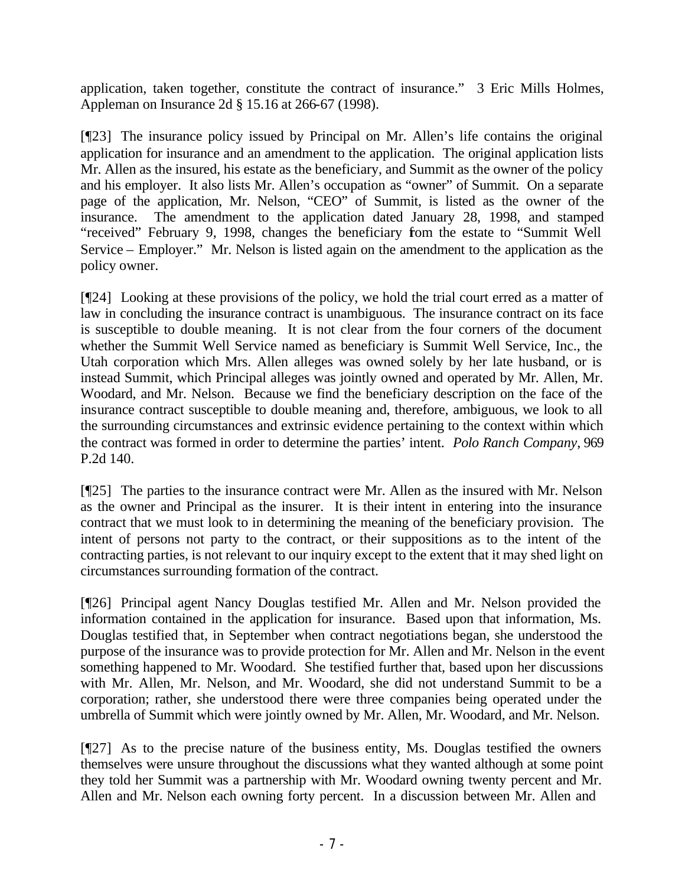application, taken together, constitute the contract of insurance." 3 Eric Mills Holmes, Appleman on Insurance 2d § 15.16 at 266-67 (1998).

[¶23] The insurance policy issued by Principal on Mr. Allen's life contains the original application for insurance and an amendment to the application. The original application lists Mr. Allen as the insured, his estate as the beneficiary, and Summit as the owner of the policy and his employer. It also lists Mr. Allen's occupation as "owner" of Summit. On a separate page of the application, Mr. Nelson, "CEO" of Summit, is listed as the owner of the insurance. The amendment to the application dated January 28, 1998, and stamped "received" February 9, 1998, changes the beneficiary from the estate to "Summit Well Service – Employer." Mr. Nelson is listed again on the amendment to the application as the policy owner.

[¶24] Looking at these provisions of the policy, we hold the trial court erred as a matter of law in concluding the insurance contract is unambiguous. The insurance contract on its face is susceptible to double meaning. It is not clear from the four corners of the document whether the Summit Well Service named as beneficiary is Summit Well Service, Inc., the Utah corporation which Mrs. Allen alleges was owned solely by her late husband, or is instead Summit, which Principal alleges was jointly owned and operated by Mr. Allen, Mr. Woodard, and Mr. Nelson. Because we find the beneficiary description on the face of the insurance contract susceptible to double meaning and, therefore, ambiguous, we look to all the surrounding circumstances and extrinsic evidence pertaining to the context within which the contract was formed in order to determine the parties' intent. *Polo Ranch Company*, 969 P.2d 140.

[¶25] The parties to the insurance contract were Mr. Allen as the insured with Mr. Nelson as the owner and Principal as the insurer. It is their intent in entering into the insurance contract that we must look to in determining the meaning of the beneficiary provision. The intent of persons not party to the contract, or their suppositions as to the intent of the contracting parties, is not relevant to our inquiry except to the extent that it may shed light on circumstances surrounding formation of the contract.

[¶26] Principal agent Nancy Douglas testified Mr. Allen and Mr. Nelson provided the information contained in the application for insurance. Based upon that information, Ms. Douglas testified that, in September when contract negotiations began, she understood the purpose of the insurance was to provide protection for Mr. Allen and Mr. Nelson in the event something happened to Mr. Woodard. She testified further that, based upon her discussions with Mr. Allen, Mr. Nelson, and Mr. Woodard, she did not understand Summit to be a corporation; rather, she understood there were three companies being operated under the umbrella of Summit which were jointly owned by Mr. Allen, Mr. Woodard, and Mr. Nelson.

[¶27] As to the precise nature of the business entity, Ms. Douglas testified the owners themselves were unsure throughout the discussions what they wanted although at some point they told her Summit was a partnership with Mr. Woodard owning twenty percent and Mr. Allen and Mr. Nelson each owning forty percent. In a discussion between Mr. Allen and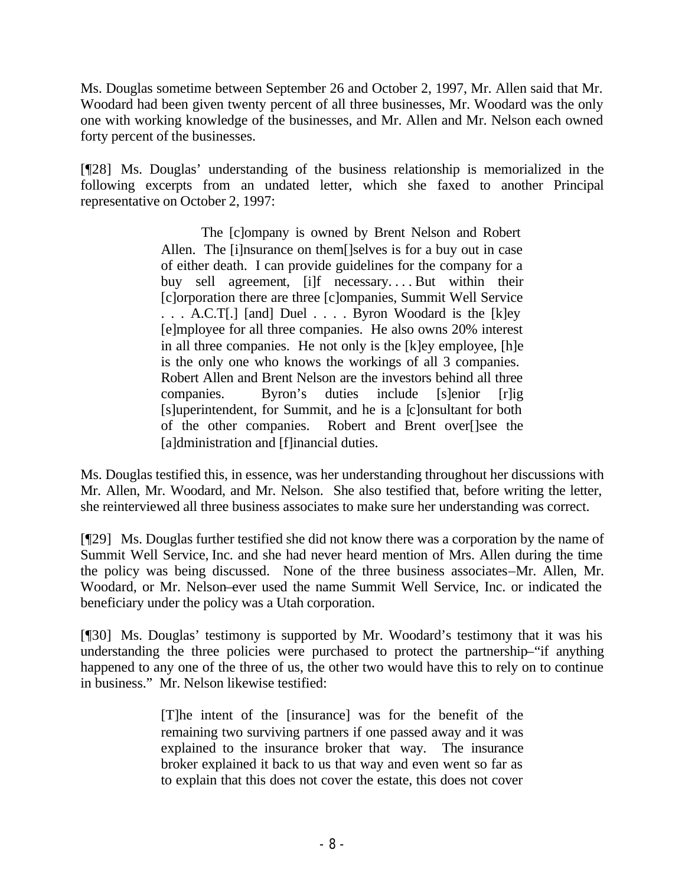Ms. Douglas sometime between September 26 and October 2, 1997, Mr. Allen said that Mr. Woodard had been given twenty percent of all three businesses, Mr. Woodard was the only one with working knowledge of the businesses, and Mr. Allen and Mr. Nelson each owned forty percent of the businesses.

[¶28] Ms. Douglas' understanding of the business relationship is memorialized in the following excerpts from an undated letter, which she faxed to another Principal representative on October 2, 1997:

> The [c]ompany is owned by Brent Nelson and Robert Allen. The [i]nsurance on them[]selves is for a buy out in case of either death. I can provide guidelines for the company for a buy sell agreement, [i]f necessary....But within their [c]orporation there are three [c]ompanies, Summit Well Service . . . A.C.T[.] [and] Duel . . . . Byron Woodard is the [k]ey [e]mployee for all three companies. He also owns 20% interest in all three companies. He not only is the [k]ey employee, [h]e is the only one who knows the workings of all 3 companies. Robert Allen and Brent Nelson are the investors behind all three companies. Byron's duties include [s]enior [r]ig [s]uperintendent, for Summit, and he is a [c]onsultant for both of the other companies. Robert and Brent over[]see the [a]dministration and [f]inancial duties.

Ms. Douglas testified this, in essence, was her understanding throughout her discussions with Mr. Allen, Mr. Woodard, and Mr. Nelson. She also testified that, before writing the letter, she reinterviewed all three business associates to make sure her understanding was correct.

[¶29] Ms. Douglas further testified she did not know there was a corporation by the name of Summit Well Service, Inc. and she had never heard mention of Mrs. Allen during the time the policy was being discussed. None of the three business associates–Mr. Allen, Mr. Woodard, or Mr. Nelson–ever used the name Summit Well Service, Inc. or indicated the beneficiary under the policy was a Utah corporation.

[¶30] Ms. Douglas' testimony is supported by Mr. Woodard's testimony that it was his understanding the three policies were purchased to protect the partnership–"if anything happened to any one of the three of us, the other two would have this to rely on to continue in business." Mr. Nelson likewise testified:

> [T]he intent of the [insurance] was for the benefit of the remaining two surviving partners if one passed away and it was explained to the insurance broker that way. The insurance broker explained it back to us that way and even went so far as to explain that this does not cover the estate, this does not cover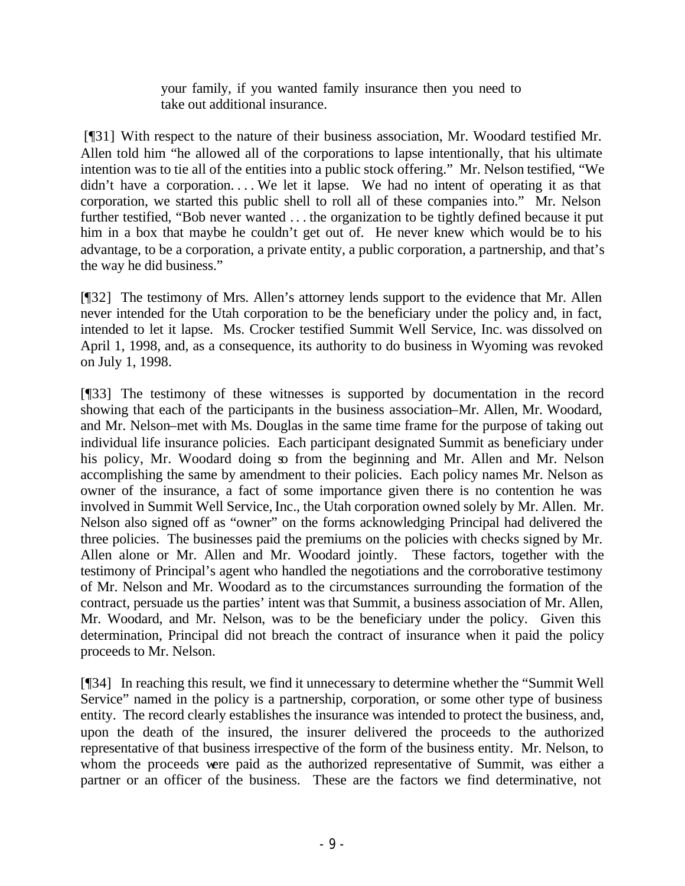your family, if you wanted family insurance then you need to take out additional insurance.

 [¶31] With respect to the nature of their business association, Mr. Woodard testified Mr. Allen told him "he allowed all of the corporations to lapse intentionally, that his ultimate intention was to tie all of the entities into a public stock offering." Mr. Nelson testified, "We didn't have a corporation... We let it lapse. We had no intent of operating it as that corporation, we started this public shell to roll all of these companies into." Mr. Nelson further testified, "Bob never wanted . . . the organization to be tightly defined because it put him in a box that maybe he couldn't get out of. He never knew which would be to his advantage, to be a corporation, a private entity, a public corporation, a partnership, and that's the way he did business."

[¶32] The testimony of Mrs. Allen's attorney lends support to the evidence that Mr. Allen never intended for the Utah corporation to be the beneficiary under the policy and, in fact, intended to let it lapse. Ms. Crocker testified Summit Well Service, Inc. was dissolved on April 1, 1998, and, as a consequence, its authority to do business in Wyoming was revoked on July 1, 1998.

[¶33] The testimony of these witnesses is supported by documentation in the record showing that each of the participants in the business association–Mr. Allen, Mr. Woodard, and Mr. Nelson–met with Ms. Douglas in the same time frame for the purpose of taking out individual life insurance policies. Each participant designated Summit as beneficiary under his policy, Mr. Woodard doing so from the beginning and Mr. Allen and Mr. Nelson accomplishing the same by amendment to their policies. Each policy names Mr. Nelson as owner of the insurance, a fact of some importance given there is no contention he was involved in Summit Well Service, Inc., the Utah corporation owned solely by Mr. Allen. Mr. Nelson also signed off as "owner" on the forms acknowledging Principal had delivered the three policies. The businesses paid the premiums on the policies with checks signed by Mr. Allen alone or Mr. Allen and Mr. Woodard jointly. These factors, together with the testimony of Principal's agent who handled the negotiations and the corroborative testimony of Mr. Nelson and Mr. Woodard as to the circumstances surrounding the formation of the contract, persuade us the parties' intent was that Summit, a business association of Mr. Allen, Mr. Woodard, and Mr. Nelson, was to be the beneficiary under the policy. Given this determination, Principal did not breach the contract of insurance when it paid the policy proceeds to Mr. Nelson.

[¶34] In reaching this result, we find it unnecessary to determine whether the "Summit Well Service" named in the policy is a partnership, corporation, or some other type of business entity. The record clearly establishes the insurance was intended to protect the business, and, upon the death of the insured, the insurer delivered the proceeds to the authorized representative of that business irrespective of the form of the business entity. Mr. Nelson, to whom the proceeds were paid as the authorized representative of Summit, was either a partner or an officer of the business. These are the factors we find determinative, not